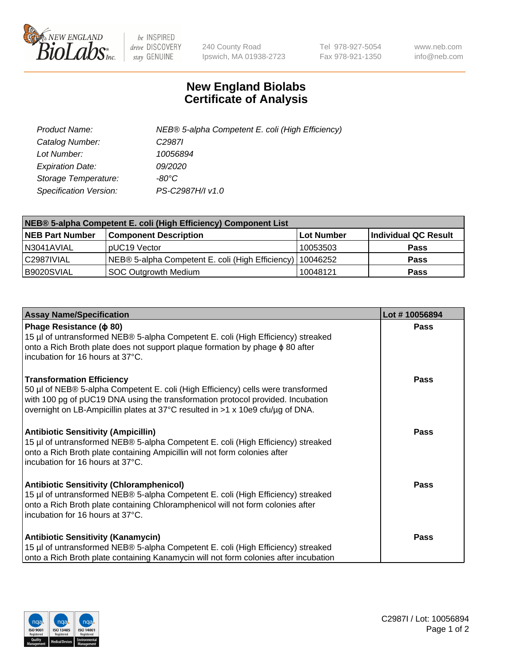

 $be$  INSPIRED drive DISCOVERY stay GENUINE

240 County Road Ipswich, MA 01938-2723 Tel 978-927-5054 Fax 978-921-1350 www.neb.com info@neb.com

## **New England Biolabs Certificate of Analysis**

| Product Name:           | NEB® 5-alpha Competent E. coli (High Efficiency) |
|-------------------------|--------------------------------------------------|
| Catalog Number:         | C <sub>2987</sub>                                |
| Lot Number:             | 10056894                                         |
| <b>Expiration Date:</b> | <i>09/2020</i>                                   |
| Storage Temperature:    | -80°C                                            |
| Specification Version:  | PS-C2987H/I v1.0                                 |

| NEB® 5-alpha Competent E. coli (High Efficiency) Component List |                                                  |            |                      |  |
|-----------------------------------------------------------------|--------------------------------------------------|------------|----------------------|--|
| <b>NEB Part Number</b>                                          | <b>Component Description</b>                     | Lot Number | Individual QC Result |  |
| N3041AVIAL                                                      | pUC19 Vector                                     | 10053503   | <b>Pass</b>          |  |
| C2987IVIAL                                                      | NEB® 5-alpha Competent E. coli (High Efficiency) | 110046252  | <b>Pass</b>          |  |
| B9020SVIAL                                                      | <b>SOC Outgrowth Medium</b>                      | 10048121   | <b>Pass</b>          |  |

| <b>Assay Name/Specification</b>                                                                                                                                                                                                                                                           | Lot #10056894 |
|-------------------------------------------------------------------------------------------------------------------------------------------------------------------------------------------------------------------------------------------------------------------------------------------|---------------|
| Phage Resistance ( $\phi$ 80)<br>15 µl of untransformed NEB® 5-alpha Competent E. coli (High Efficiency) streaked<br>onto a Rich Broth plate does not support plaque formation by phage $\phi$ 80 after<br>incubation for 16 hours at 37°C.                                               | <b>Pass</b>   |
| <b>Transformation Efficiency</b><br>50 µl of NEB® 5-alpha Competent E. coli (High Efficiency) cells were transformed<br>with 100 pg of pUC19 DNA using the transformation protocol provided. Incubation<br>overnight on LB-Ampicillin plates at 37°C resulted in >1 x 10e9 cfu/µg of DNA. | <b>Pass</b>   |
| Antibiotic Sensitivity (Ampicillin)<br>15 µl of untransformed NEB® 5-alpha Competent E. coli (High Efficiency) streaked<br>onto a Rich Broth plate containing Ampicillin will not form colonies after<br>incubation for 16 hours at 37°C.                                                 | Pass          |
| <b>Antibiotic Sensitivity (Chloramphenicol)</b><br>15 µl of untransformed NEB® 5-alpha Competent E. coli (High Efficiency) streaked<br>onto a Rich Broth plate containing Chloramphenicol will not form colonies after<br>incubation for 16 hours at 37°C.                                | Pass          |
| <b>Antibiotic Sensitivity (Kanamycin)</b><br>15 µl of untransformed NEB® 5-alpha Competent E. coli (High Efficiency) streaked<br>onto a Rich Broth plate containing Kanamycin will not form colonies after incubation                                                                     | Pass          |